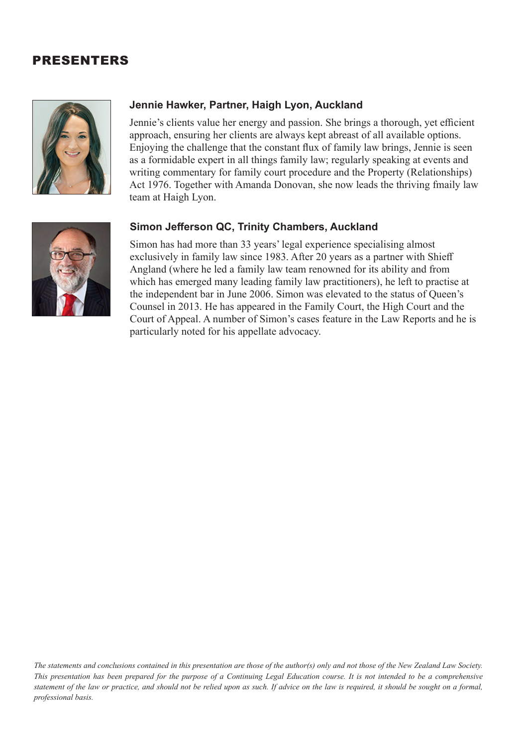## PRESENTERS



## **Jennie Hawker, Partner, Haigh Lyon, Auckland**

Jennie's clients value her energy and passion. She brings a thorough, yet efficient approach, ensuring her clients are always kept abreast of all available options. Enjoying the challenge that the constant flux of family law brings, Jennie is seen as a formidable expert in all things family law; regularly speaking at events and writing commentary for family court procedure and the Property (Relationships) Act 1976. Together with Amanda Donovan, she now leads the thriving fmaily law team at Haigh Lyon.

## **Simon Jefferson QC, Trinity Chambers, Auckland**

Simon has had more than 33 years' legal experience specialising almost exclusively in family law since 1983. After 20 years as a partner with Shieff Angland (where he led a family law team renowned for its ability and from which has emerged many leading family law practitioners), he left to practise at the independent bar in June 2006. Simon was elevated to the status of Queen's Counsel in 2013. He has appeared in the Family Court, the High Court and the Court of Appeal. A number of Simon's cases feature in the Law Reports and he is particularly noted for his appellate advocacy.